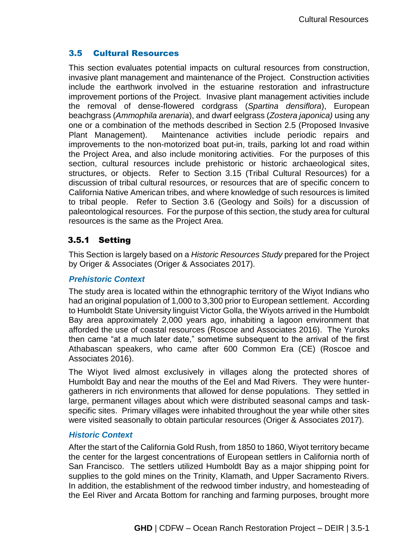# 3.5 Cultural Resources

This section evaluates potential impacts on cultural resources from construction, invasive plant management and maintenance of the Project. Construction activities include the earthwork involved in the estuarine restoration and infrastructure improvement portions of the Project. Invasive plant management activities include the removal of dense-flowered cordgrass (*Spartina densiflora*), European beachgrass (*Ammophila arenaria*), and dwarf eelgrass (*Zostera japonica)* using any one or a combination of the methods described in Section 2.5 (Proposed Invasive Plant Management). Maintenance activities include periodic repairs and improvements to the non-motorized boat put-in, trails, parking lot and road within the Project Area, and also include monitoring activities. For the purposes of this section, cultural resources include prehistoric or historic archaeological sites, structures, or objects. Refer to Section 3.15 (Tribal Cultural Resources) for a discussion of tribal cultural resources, or resources that are of specific concern to California Native American tribes, and where knowledge of such resources is limited to tribal people. Refer to Section 3.6 (Geology and Soils) for a discussion of paleontological resources. For the purpose of this section, the study area for cultural resources is the same as the Project Area.

# 3.5.1 Setting

This Section is largely based on a *Historic Resources Study* prepared for the Project by Origer & Associates (Origer & Associates 2017).

## *Prehistoric Context*

The study area is located within the ethnographic territory of the Wiyot Indians who had an original population of 1,000 to 3,300 prior to European settlement. According to Humboldt State University linguist Victor Golla, the Wiyots arrived in the Humboldt Bay area approximately 2,000 years ago, inhabiting a lagoon environment that afforded the use of coastal resources (Roscoe and Associates 2016). The Yuroks then came "at a much later date," sometime subsequent to the arrival of the first Athabascan speakers, who came after 600 Common Era (CE) (Roscoe and Associates 2016).

The Wiyot lived almost exclusively in villages along the protected shores of Humboldt Bay and near the mouths of the Eel and Mad Rivers. They were huntergatherers in rich environments that allowed for dense populations. They settled in large, permanent villages about which were distributed seasonal camps and taskspecific sites. Primary villages were inhabited throughout the year while other sites were visited seasonally to obtain particular resources (Origer & Associates 2017).

## *Historic Context*

After the start of the California Gold Rush, from 1850 to 1860, Wiyot territory became the center for the largest concentrations of European settlers in California north of San Francisco. The settlers utilized Humboldt Bay as a major shipping point for supplies to the gold mines on the Trinity, Klamath, and Upper Sacramento Rivers. In addition, the establishment of the redwood timber industry, and homesteading of the Eel River and Arcata Bottom for ranching and farming purposes, brought more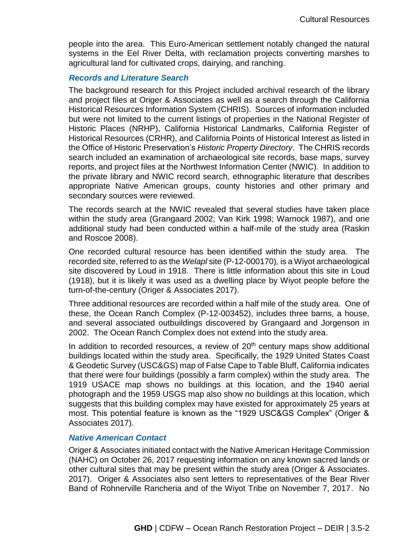people into the area. This Euro-American settlement notably changed the natural systems in the Eel River Delta, with reclamation projects converting marshes to agricultural land for cultivated crops, dairying, and ranching.

#### *Records and Literature Search*

The background research for this Project included archival research of the library and project files at Origer & Associates as well as a search through the California Historical Resources Information System (CHRIS). Sources of information included but were not limited to the current listings of properties in the National Register of Historic Places (NRHP), California Historical Landmarks, California Register of Historical Resources (CRHR), and California Points of Historical Interest as listed in the Office of Historic Preservation's *Historic Property Directory*. The CHRIS records search included an examination of archaeological site records, base maps, survey reports, and project files at the Northwest Information Center (NWIC). In addition to the private library and NWIC record search, ethnographic literature that describes appropriate Native American groups, county histories and other primary and secondary sources were reviewed.

The records search at the NWIC revealed that several studies have taken place within the study area (Grangaard 2002; Van Kirk 1998; Warnock 1987), and one additional study had been conducted within a half-mile of the study area (Raskin and Roscoe 2008).

One recorded cultural resource has been identified within the study area. The recorded site, referred to as the *Welapl* site (P-12-000170)*,* is a Wiyot archaeological site discovered by Loud in 1918. There is little information about this site in Loud (1918), but it is likely it was used as a dwelling place by Wiyot people before the turn-of-the-century (Origer & Associates 2017).

Three additional resources are recorded within a half mile of the study area. One of these, the Ocean Ranch Complex (P-12-003452), includes three barns, a house, and several associated outbuildings discovered by Grangaard and Jorgenson in 2002. The Ocean Ranch Complex does not extend into the study area.

In addition to recorded resources, a review of  $20<sup>th</sup>$  century maps show additional buildings located within the study area. Specifically, the 1929 United States Coast & Geodetic Survey (USC&GS) map of False Cape to Table Bluff, California indicates that there were four buildings (possibly a farm complex) within the study area. The 1919 USACE map shows no buildings at this location, and the 1940 aerial photograph and the 1959 USGS map also show no buildings at this location, which suggests that this building complex may have existed for approximately 25 years at most. This potential feature is known as the "1929 USC&GS Complex" (Origer & Associates 2017).

#### *Native American Contact*

Origer & Associates initiated contact with the Native American Heritage Commission (NAHC) on October 26, 2017 requesting information on any known sacred lands or other cultural sites that may be present within the study area (Origer & Associates. 2017). Origer & Associates also sent letters to representatives of the Bear River Band of Rohnerville Rancheria and of the Wiyot Tribe on November 7, 2017. No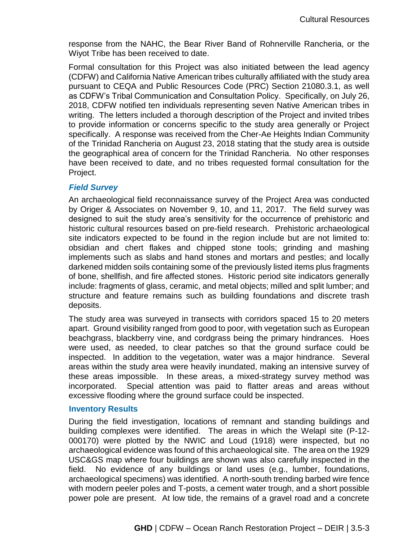response from the NAHC, the Bear River Band of Rohnerville Rancheria, or the Wiyot Tribe has been received to date.

Formal consultation for this Project was also initiated between the lead agency (CDFW) and California Native American tribes culturally affiliated with the study area pursuant to CEQA and Public Resources Code (PRC) Section 21080.3.1, as well as CDFW's Tribal Communication and Consultation Policy. Specifically, on July 26, 2018, CDFW notified ten individuals representing seven Native American tribes in writing. The letters included a thorough description of the Project and invited tribes to provide information or concerns specific to the study area generally or Project specifically. A response was received from the Cher-Ae Heights Indian Community of the Trinidad Rancheria on August 23, 2018 stating that the study area is outside the geographical area of concern for the Trinidad Rancheria. No other responses have been received to date, and no tribes requested formal consultation for the Project.

#### *Field Survey*

An archaeological field reconnaissance survey of the Project Area was conducted by Origer & Associates on November 9, 10, and 11, 2017. The field survey was designed to suit the study area's sensitivity for the occurrence of prehistoric and historic cultural resources based on pre-field research. Prehistoric archaeological site indicators expected to be found in the region include but are not limited to: obsidian and chert flakes and chipped stone tools; grinding and mashing implements such as slabs and hand stones and mortars and pestles; and locally darkened midden soils containing some of the previously listed items plus fragments of bone, shellfish, and fire affected stones. Historic period site indicators generally include: fragments of glass, ceramic, and metal objects; milled and split lumber; and structure and feature remains such as building foundations and discrete trash deposits.

The study area was surveyed in transects with corridors spaced 15 to 20 meters apart. Ground visibility ranged from good to poor, with vegetation such as European beachgrass, blackberry vine, and cordgrass being the primary hindrances. Hoes were used, as needed, to clear patches so that the ground surface could be inspected. In addition to the vegetation, water was a major hindrance. Several areas within the study area were heavily inundated, making an intensive survey of these areas impossible. In these areas, a mixed-strategy survey method was incorporated. Special attention was paid to flatter areas and areas without excessive flooding where the ground surface could be inspected.

#### **Inventory Results**

During the field investigation, locations of remnant and standing buildings and building complexes were identified. The areas in which the Welapl site (P-12- 000170) were plotted by the NWIC and Loud (1918) were inspected, but no archaeological evidence was found of this archaeological site. The area on the 1929 USC&GS map where four buildings are shown was also carefully inspected in the field. No evidence of any buildings or land uses (e.g., lumber, foundations, archaeological specimens) was identified. A north-south trending barbed wire fence with modern peeler poles and T-posts, a cement water trough, and a short possible power pole are present. At low tide, the remains of a gravel road and a concrete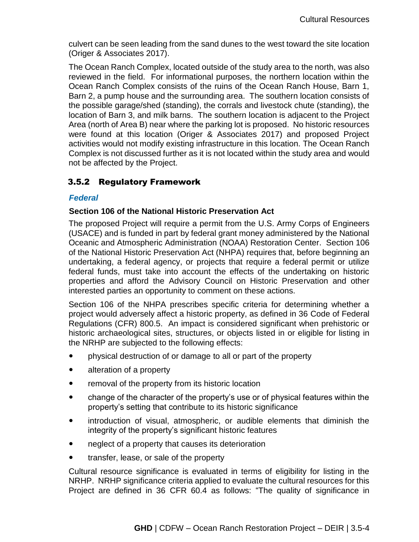culvert can be seen leading from the sand dunes to the west toward the site location (Origer & Associates 2017).

The Ocean Ranch Complex, located outside of the study area to the north, was also reviewed in the field. For informational purposes, the northern location within the Ocean Ranch Complex consists of the ruins of the Ocean Ranch House, Barn 1, Barn 2, a pump house and the surrounding area. The southern location consists of the possible garage/shed (standing), the corrals and livestock chute (standing), the location of Barn 3, and milk barns. The southern location is adjacent to the Project Area (north of Area B) near where the parking lot is proposed. No historic resources were found at this location (Origer & Associates 2017) and proposed Project activities would not modify existing infrastructure in this location. The Ocean Ranch Complex is not discussed further as it is not located within the study area and would not be affected by the Project.

# 3.5.2 Regulatory Framework

## *Federal*

## **Section 106 of the National Historic Preservation Act**

The proposed Project will require a permit from the U.S. Army Corps of Engineers (USACE) and is funded in part by federal grant money administered by the National Oceanic and Atmospheric Administration (NOAA) Restoration Center. Section 106 of the National Historic Preservation Act (NHPA) requires that, before beginning an undertaking, a federal agency, or projects that require a federal permit or utilize federal funds, must take into account the effects of the undertaking on historic properties and afford the Advisory Council on Historic Preservation and other interested parties an opportunity to comment on these actions.

Section 106 of the NHPA prescribes specific criteria for determining whether a project would adversely affect a historic property, as defined in 36 Code of Federal Regulations (CFR) 800.5. An impact is considered significant when prehistoric or historic archaeological sites, structures, or objects listed in or eligible for listing in the NRHP are subjected to the following effects:

- physical destruction of or damage to all or part of the property
- alteration of a property
- removal of the property from its historic location
- change of the character of the property's use or of physical features within the property's setting that contribute to its historic significance
- introduction of visual, atmospheric, or audible elements that diminish the integrity of the property's significant historic features
- neglect of a property that causes its deterioration
- transfer, lease, or sale of the property

Cultural resource significance is evaluated in terms of eligibility for listing in the NRHP. NRHP significance criteria applied to evaluate the cultural resources for this Project are defined in 36 CFR 60.4 as follows: "The quality of significance in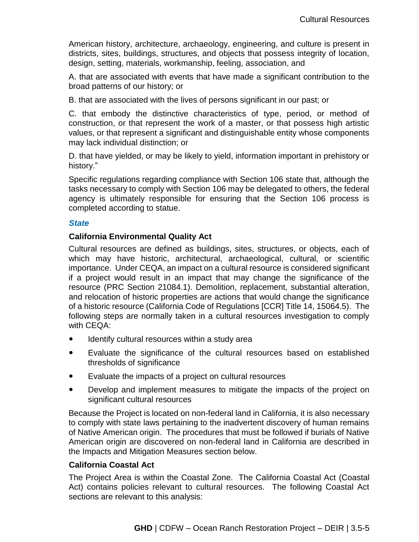American history, architecture, archaeology, engineering, and culture is present in districts, sites, buildings, structures, and objects that possess integrity of location, design, setting, materials, workmanship, feeling, association, and

A. that are associated with events that have made a significant contribution to the broad patterns of our history; or

B. that are associated with the lives of persons significant in our past; or

C. that embody the distinctive characteristics of type, period, or method of construction, or that represent the work of a master, or that possess high artistic values, or that represent a significant and distinguishable entity whose components may lack individual distinction; or

D. that have yielded, or may be likely to yield, information important in prehistory or history."

Specific regulations regarding compliance with Section 106 state that, although the tasks necessary to comply with Section 106 may be delegated to others, the federal agency is ultimately responsible for ensuring that the Section 106 process is completed according to statue.

#### *State*

## **California Environmental Quality Act**

Cultural resources are defined as buildings, sites, structures, or objects, each of which may have historic, architectural, archaeological, cultural, or scientific importance. Under CEQA, an impact on a cultural resource is considered significant if a project would result in an impact that may change the significance of the resource (PRC Section 21084.1). Demolition, replacement, substantial alteration, and relocation of historic properties are actions that would change the significance of a historic resource (California Code of Regulations [CCR] Title 14, 15064.5). The following steps are normally taken in a cultural resources investigation to comply with CEQA:

- Identify cultural resources within a study area
- Evaluate the significance of the cultural resources based on established thresholds of significance
- Evaluate the impacts of a project on cultural resources
- Develop and implement measures to mitigate the impacts of the project on significant cultural resources

Because the Project is located on non-federal land in California, it is also necessary to comply with state laws pertaining to the inadvertent discovery of human remains of Native American origin. The procedures that must be followed if burials of Native American origin are discovered on non-federal land in California are described in the Impacts and Mitigation Measures section below.

#### **California Coastal Act**

The Project Area is within the Coastal Zone. The California Coastal Act (Coastal Act) contains policies relevant to cultural resources. The following Coastal Act sections are relevant to this analysis: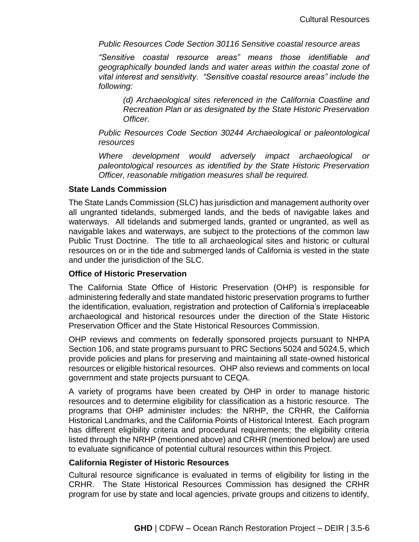*Public Resources Code Section 30116 Sensitive coastal resource areas*

*"Sensitive coastal resource areas" means those identifiable and geographically bounded lands and water areas within the coastal zone of vital interest and sensitivity. "Sensitive coastal resource areas" include the following:*

*(d) Archaeological sites referenced in the California Coastline and Recreation Plan or as designated by the State Historic Preservation Officer.* 

*Public Resources Code Section 30244 Archaeological or paleontological resources*

*Where development would adversely impact archaeological or paleontological resources as identified by the State Historic Preservation Officer, reasonable mitigation measures shall be required.*

#### **State Lands Commission**

The State Lands Commission (SLC) has jurisdiction and management authority over all ungranted tidelands, submerged lands, and the beds of navigable lakes and waterways. All tidelands and submerged lands, granted or ungranted, as well as navigable lakes and waterways, are subject to the protections of the common law Public Trust Doctrine. The title to all archaeological sites and historic or cultural resources on or in the tide and submerged lands of California is vested in the state and under the jurisdiction of the SLC.

#### **Office of Historic Preservation**

The California State Office of Historic Preservation (OHP) is responsible for administering federally and state mandated historic preservation programs to further the identification, evaluation, registration and protection of California's irreplaceable archaeological and historical resources under the direction of the State Historic Preservation Officer and the State Historical Resources Commission.

OHP reviews and comments on federally sponsored projects pursuant to NHPA Section 106, and state programs pursuant to PRC Sections 5024 and 5024.5, which provide policies and plans for preserving and maintaining all state-owned historical resources or eligible historical resources. OHP also reviews and comments on local government and state projects pursuant to CEQA.

A variety of programs have been created by OHP in order to manage historic resources and to determine eligibility for classification as a historic resource. The programs that OHP administer includes: the NRHP, the CRHR, the California Historical Landmarks, and the California Points of Historical Interest. Each program has different eligibility criteria and procedural requirements; the eligibility criteria listed through the NRHP (mentioned above) and CRHR (mentioned below) are used to evaluate significance of potential cultural resources within this Project.

#### **California Register of Historic Resources**

Cultural resource significance is evaluated in terms of eligibility for listing in the CRHR. The State Historical Resources Commission has designed the CRHR program for use by state and local agencies, private groups and citizens to identify,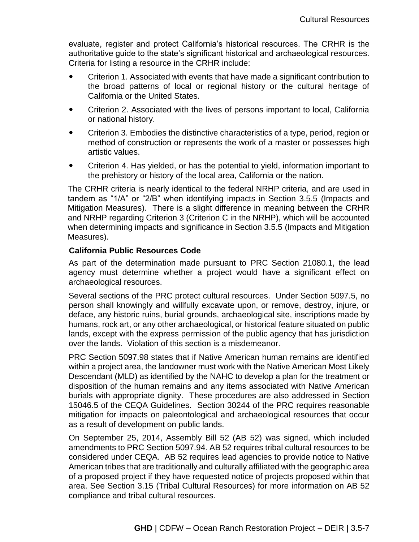evaluate, register and protect California's historical resources. The CRHR is the authoritative guide to the state's significant historical and archaeological resources. Criteria for listing a resource in the CRHR include:

- Criterion 1. Associated with events that have made a significant contribution to the broad patterns of local or regional history or the cultural heritage of California or the United States.
- Criterion 2. Associated with the lives of persons important to local, California or national history.
- Criterion 3. Embodies the distinctive characteristics of a type, period, region or method of construction or represents the work of a master or possesses high artistic values.
- Criterion 4. Has yielded, or has the potential to yield, information important to the prehistory or history of the local area, California or the nation.

The CRHR criteria is nearly identical to the federal NRHP criteria, and are used in tandem as "1/A" or "2/B" when identifying impacts in Section 3.5.5 (Impacts and Mitigation Measures). There is a slight difference in meaning between the CRHR and NRHP regarding Criterion 3 (Criterion C in the NRHP), which will be accounted when determining impacts and significance in Section 3.5.5 (Impacts and Mitigation Measures).

## **California Public Resources Code**

As part of the determination made pursuant to PRC Section 21080.1, the lead agency must determine whether a project would have a significant effect on archaeological resources.

Several sections of the PRC protect cultural resources. Under Section 5097.5, no person shall knowingly and willfully excavate upon, or remove, destroy, injure, or deface, any historic ruins, burial grounds, archaeological site, inscriptions made by humans, rock art, or any other archaeological, or historical feature situated on public lands, except with the express permission of the public agency that has jurisdiction over the lands. Violation of this section is a misdemeanor.

PRC Section 5097.98 states that if Native American human remains are identified within a project area, the landowner must work with the Native American Most Likely Descendant (MLD) as identified by the NAHC to develop a plan for the treatment or disposition of the human remains and any items associated with Native American burials with appropriate dignity. These procedures are also addressed in Section 15046.5 of the CEQA Guidelines. Section 30244 of the PRC requires reasonable mitigation for impacts on paleontological and archaeological resources that occur as a result of development on public lands.

On September 25, 2014, Assembly Bill 52 (AB 52) was signed, which included amendments to PRC Section 5097.94. AB 52 requires tribal cultural resources to be considered under CEQA. AB 52 requires lead agencies to provide notice to Native American tribes that are traditionally and culturally affiliated with the geographic area of a proposed project if they have requested notice of projects proposed within that area. See Section 3.15 (Tribal Cultural Resources) for more information on AB 52 compliance and tribal cultural resources.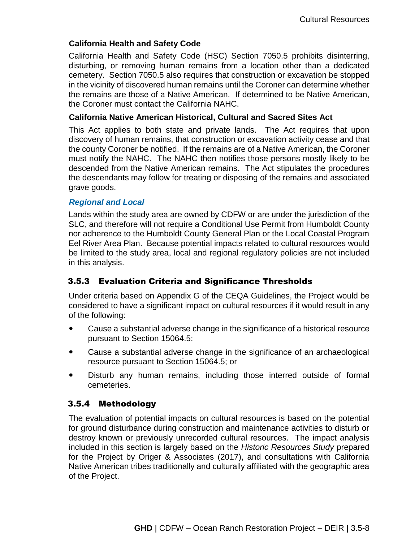## **California Health and Safety Code**

California Health and Safety Code (HSC) Section 7050.5 prohibits disinterring, disturbing, or removing human remains from a location other than a dedicated cemetery. Section 7050.5 also requires that construction or excavation be stopped in the vicinity of discovered human remains until the Coroner can determine whether the remains are those of a Native American. If determined to be Native American, the Coroner must contact the California NAHC.

#### **California Native American Historical, Cultural and Sacred Sites Act**

This Act applies to both state and private lands. The Act requires that upon discovery of human remains, that construction or excavation activity cease and that the county Coroner be notified. If the remains are of a Native American, the Coroner must notify the NAHC. The NAHC then notifies those persons mostly likely to be descended from the Native American remains. The Act stipulates the procedures the descendants may follow for treating or disposing of the remains and associated grave goods.

## *Regional and Local*

Lands within the study area are owned by CDFW or are under the jurisdiction of the SLC, and therefore will not require a Conditional Use Permit from Humboldt County nor adherence to the Humboldt County General Plan or the Local Coastal Program Eel River Area Plan. Because potential impacts related to cultural resources would be limited to the study area, local and regional regulatory policies are not included in this analysis.

# 3.5.3 Evaluation Criteria and Significance Thresholds

Under criteria based on Appendix G of the CEQA Guidelines, the Project would be considered to have a significant impact on cultural resources if it would result in any of the following:

- Cause a substantial adverse change in the significance of a historical resource pursuant to Section 15064.5;
- Cause a substantial adverse change in the significance of an archaeological resource pursuant to Section 15064.5; or
- Disturb any human remains, including those interred outside of formal cemeteries.

## 3.5.4 Methodology

The evaluation of potential impacts on cultural resources is based on the potential for ground disturbance during construction and maintenance activities to disturb or destroy known or previously unrecorded cultural resources. The impact analysis included in this section is largely based on the *Historic Resources Study* prepared for the Project by Origer & Associates (2017), and consultations with California Native American tribes traditionally and culturally affiliated with the geographic area of the Project.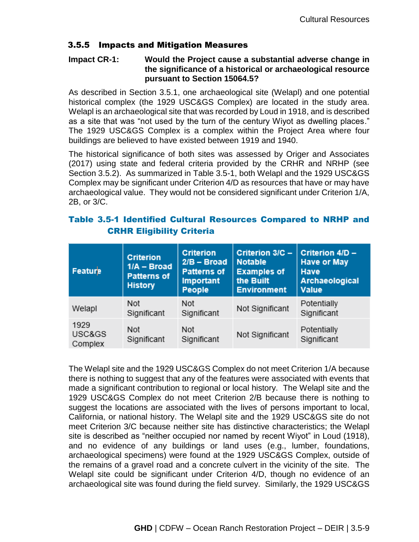## 3.5.5 Impacts and Mitigation Measures

#### **Impact CR-1: Would the Project cause a substantial adverse change in the significance of a historical or archaeological resource pursuant to Section 15064.5?**

As described in Section 3.5.1, one archaeological site (Welapl) and one potential historical complex (the 1929 USC&GS Complex) are located in the study area. Welapl is an archaeological site that was recorded by Loud in 1918, and is described as a site that was "not used by the turn of the century Wiyot as dwelling places." The 1929 USC&GS Complex is a complex within the Project Area where four buildings are believed to have existed between 1919 and 1940.

The historical significance of both sites was assessed by Origer and Associates (2017) using state and federal criteria provided by the CRHR and NRHP (see Section 3.5.2). As summarized in Table 3.5-1, both Welapl and the 1929 USC&GS Complex may be significant under Criterion 4/D as resources that have or may have archaeological value. They would not be considered significant under Criterion 1/A, 2B, or 3/C.

# Table 3.5-1 Identified Cultural Resources Compared to NRHP and CRHR Eligibility Criteria

| Feature                   | <b>Criterion</b><br>$1/A - Broad$<br><b>Patterns of</b><br><b>History</b> | <b>Criterion</b><br>$2/B - Broad$<br><b>Patterns of</b><br><b>Important</b><br>People | Criterion 3/C -<br><b>Notable</b><br><b>Examples of</b><br>the Built<br><b>Environment</b> | Criterion 4/D -<br><b>Have or May</b><br><b>Have</b><br>Archaeological<br>Value |
|---------------------------|---------------------------------------------------------------------------|---------------------------------------------------------------------------------------|--------------------------------------------------------------------------------------------|---------------------------------------------------------------------------------|
| Welapl                    | Not<br>Significant                                                        | Not<br>Significant                                                                    | Not Significant                                                                            | Potentially<br>Significant                                                      |
| 1929<br>USC&GS<br>Complex | Not<br>Significant                                                        | Not<br>Significant                                                                    | Not Significant                                                                            | Potentially<br>Significant                                                      |

The Welapl site and the 1929 USC&GS Complex do not meet Criterion 1/A because there is nothing to suggest that any of the features were associated with events that made a significant contribution to regional or local history. The Welapl site and the 1929 USC&GS Complex do not meet Criterion 2/B because there is nothing to suggest the locations are associated with the lives of persons important to local, California, or national history. The Welapl site and the 1929 USC&GS site do not meet Criterion 3/C because neither site has distinctive characteristics; the Welapl site is described as "neither occupied nor named by recent Wiyot" in Loud (1918), and no evidence of any buildings or land uses (e.g., lumber, foundations, archaeological specimens) were found at the 1929 USC&GS Complex, outside of the remains of a gravel road and a concrete culvert in the vicinity of the site. The Welapl site could be significant under Criterion 4/D, though no evidence of an archaeological site was found during the field survey. Similarly, the 1929 USC&GS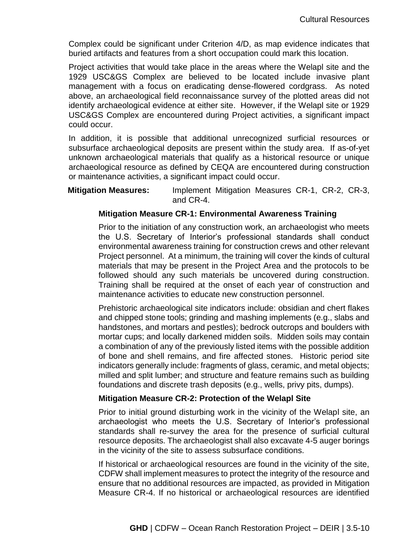Complex could be significant under Criterion 4/D, as map evidence indicates that buried artifacts and features from a short occupation could mark this location.

Project activities that would take place in the areas where the Welapl site and the 1929 USC&GS Complex are believed to be located include invasive plant management with a focus on eradicating dense-flowered cordgrass. As noted above, an archaeological field reconnaissance survey of the plotted areas did not identify archaeological evidence at either site. However, if the Welapl site or 1929 USC&GS Complex are encountered during Project activities, a significant impact could occur.

In addition, it is possible that additional unrecognized surficial resources or subsurface archaeological deposits are present within the study area. If as-of-yet unknown archaeological materials that qualify as a historical resource or unique archaeological resource as defined by CEQA are encountered during construction or maintenance activities, a significant impact could occur.

**Mitigation Measures:** Implement Mitigation Measures CR-1, CR-2, CR-3, and CR-4.

## **Mitigation Measure CR-1: Environmental Awareness Training**

Prior to the initiation of any construction work, an archaeologist who meets the U.S. Secretary of Interior's professional standards shall conduct environmental awareness training for construction crews and other relevant Project personnel. At a minimum, the training will cover the kinds of cultural materials that may be present in the Project Area and the protocols to be followed should any such materials be uncovered during construction. Training shall be required at the onset of each year of construction and maintenance activities to educate new construction personnel.

Prehistoric archaeological site indicators include: obsidian and chert flakes and chipped stone tools; grinding and mashing implements (e.g., slabs and handstones, and mortars and pestles); bedrock outcrops and boulders with mortar cups; and locally darkened midden soils. Midden soils may contain a combination of any of the previously listed items with the possible addition of bone and shell remains, and fire affected stones. Historic period site indicators generally include: fragments of glass, ceramic, and metal objects; milled and split lumber; and structure and feature remains such as building foundations and discrete trash deposits (e.g., wells, privy pits, dumps).

## **Mitigation Measure CR-2: Protection of the Welapl Site**

Prior to initial ground disturbing work in the vicinity of the Welapl site, an archaeologist who meets the U.S. Secretary of Interior's professional standards shall re-survey the area for the presence of surficial cultural resource deposits. The archaeologist shall also excavate 4-5 auger borings in the vicinity of the site to assess subsurface conditions.

If historical or archaeological resources are found in the vicinity of the site, CDFW shall implement measures to protect the integrity of the resource and ensure that no additional resources are impacted, as provided in Mitigation Measure CR-4. If no historical or archaeological resources are identified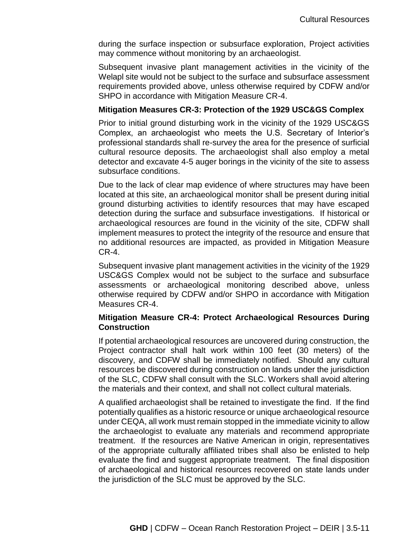during the surface inspection or subsurface exploration, Project activities may commence without monitoring by an archaeologist.

Subsequent invasive plant management activities in the vicinity of the Welapl site would not be subject to the surface and subsurface assessment requirements provided above, unless otherwise required by CDFW and/or SHPO in accordance with Mitigation Measure CR-4.

#### **Mitigation Measures CR-3: Protection of the 1929 USC&GS Complex**

Prior to initial ground disturbing work in the vicinity of the 1929 USC&GS Complex, an archaeologist who meets the U.S. Secretary of Interior's professional standards shall re-survey the area for the presence of surficial cultural resource deposits. The archaeologist shall also employ a metal detector and excavate 4-5 auger borings in the vicinity of the site to assess subsurface conditions.

Due to the lack of clear map evidence of where structures may have been located at this site, an archaeological monitor shall be present during initial ground disturbing activities to identify resources that may have escaped detection during the surface and subsurface investigations. If historical or archaeological resources are found in the vicinity of the site, CDFW shall implement measures to protect the integrity of the resource and ensure that no additional resources are impacted, as provided in Mitigation Measure CR-4.

Subsequent invasive plant management activities in the vicinity of the 1929 USC&GS Complex would not be subject to the surface and subsurface assessments or archaeological monitoring described above, unless otherwise required by CDFW and/or SHPO in accordance with Mitigation Measures CR-4.

#### **Mitigation Measure CR-4: Protect Archaeological Resources During Construction**

If potential archaeological resources are uncovered during construction, the Project contractor shall halt work within 100 feet (30 meters) of the discovery, and CDFW shall be immediately notified. Should any cultural resources be discovered during construction on lands under the jurisdiction of the SLC, CDFW shall consult with the SLC. Workers shall avoid altering the materials and their context, and shall not collect cultural materials.

A qualified archaeologist shall be retained to investigate the find. If the find potentially qualifies as a historic resource or unique archaeological resource under CEQA, all work must remain stopped in the immediate vicinity to allow the archaeologist to evaluate any materials and recommend appropriate treatment. If the resources are Native American in origin, representatives of the appropriate culturally affiliated tribes shall also be enlisted to help evaluate the find and suggest appropriate treatment. The final disposition of archaeological and historical resources recovered on state lands under the jurisdiction of the SLC must be approved by the SLC.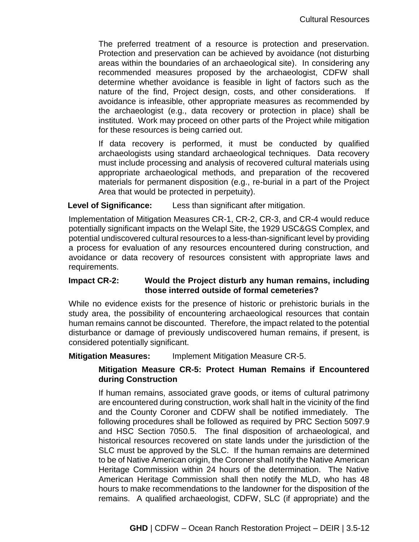The preferred treatment of a resource is protection and preservation. Protection and preservation can be achieved by avoidance (not disturbing areas within the boundaries of an archaeological site). In considering any recommended measures proposed by the archaeologist, CDFW shall determine whether avoidance is feasible in light of factors such as the nature of the find, Project design, costs, and other considerations. If avoidance is infeasible, other appropriate measures as recommended by the archaeologist (e.g., data recovery or protection in place) shall be instituted. Work may proceed on other parts of the Project while mitigation for these resources is being carried out.

If data recovery is performed, it must be conducted by qualified archaeologists using standard archaeological techniques. Data recovery must include processing and analysis of recovered cultural materials using appropriate archaeological methods, and preparation of the recovered materials for permanent disposition (e.g., re-burial in a part of the Project Area that would be protected in perpetuity).

## **Level of Significance:** Less than significant after mitigation.

Implementation of Mitigation Measures CR-1, CR-2, CR-3, and CR-4 would reduce potentially significant impacts on the Welapl Site, the 1929 USC&GS Complex, and potential undiscovered cultural resources to a less-than-significant level by providing a process for evaluation of any resources encountered during construction, and avoidance or data recovery of resources consistent with appropriate laws and requirements.

## **Impact CR-2: Would the Project disturb any human remains, including those interred outside of formal cemeteries?**

While no evidence exists for the presence of historic or prehistoric burials in the study area, the possibility of encountering archaeological resources that contain human remains cannot be discounted. Therefore, the impact related to the potential disturbance or damage of previously undiscovered human remains, if present, is considered potentially significant.

## **Mitigation Measures:** Implement Mitigation Measure CR-5.

## **Mitigation Measure CR-5: Protect Human Remains if Encountered during Construction**

If human remains, associated grave goods, or items of cultural patrimony are encountered during construction, work shall halt in the vicinity of the find and the County Coroner and CDFW shall be notified immediately. The following procedures shall be followed as required by PRC Section 5097.9 and HSC Section 7050.5. The final disposition of archaeological, and historical resources recovered on state lands under the jurisdiction of the SLC must be approved by the SLC. If the human remains are determined to be of Native American origin, the Coroner shall notify the Native American Heritage Commission within 24 hours of the determination. The Native American Heritage Commission shall then notify the MLD, who has 48 hours to make recommendations to the landowner for the disposition of the remains. A qualified archaeologist, CDFW, SLC (if appropriate) and the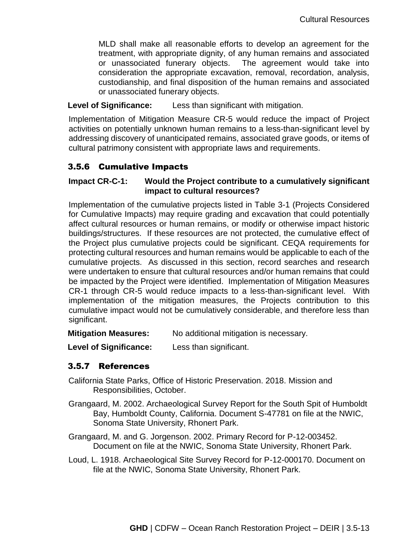MLD shall make all reasonable efforts to develop an agreement for the treatment, with appropriate dignity, of any human remains and associated or unassociated funerary objects. The agreement would take into consideration the appropriate excavation, removal, recordation, analysis, custodianship, and final disposition of the human remains and associated or unassociated funerary objects.

## **Level of Significance:** Less than significant with mitigation.

Implementation of Mitigation Measure CR-5 would reduce the impact of Project activities on potentially unknown human remains to a less-than-significant level by addressing discovery of unanticipated remains, associated grave goods, or items of cultural patrimony consistent with appropriate laws and requirements.

# 3.5.6 Cumulative Impacts

# **Impact CR-C-1: Would the Project contribute to a cumulatively significant impact to cultural resources?**

Implementation of the cumulative projects listed in Table 3-1 (Projects Considered for Cumulative Impacts) may require grading and excavation that could potentially affect cultural resources or human remains, or modify or otherwise impact historic buildings/structures. If these resources are not protected, the cumulative effect of the Project plus cumulative projects could be significant. CEQA requirements for protecting cultural resources and human remains would be applicable to each of the cumulative projects. As discussed in this section, record searches and research were undertaken to ensure that cultural resources and/or human remains that could be impacted by the Project were identified. Implementation of Mitigation Measures CR-1 through CR-5 would reduce impacts to a less-than-significant level. With implementation of the mitigation measures, the Projects contribution to this cumulative impact would not be cumulatively considerable, and therefore less than significant.

**Mitigation Measures:** No additional mitigation is necessary.

**Level of Significance:** Less than significant.

# 3.5.7 References

- California State Parks, Office of Historic Preservation. 2018. Mission and Responsibilities, October.
- Grangaard, M. 2002. Archaeological Survey Report for the South Spit of Humboldt Bay, Humboldt County, California. Document S-47781 on file at the NWIC, Sonoma State University, Rhonert Park.
- Grangaard, M. and G. Jorgenson. 2002. Primary Record for P-12-003452. Document on file at the NWIC, Sonoma State University, Rhonert Park.
- Loud, L. 1918. Archaeological Site Survey Record for P-12-000170. Document on file at the NWIC, Sonoma State University, Rhonert Park.